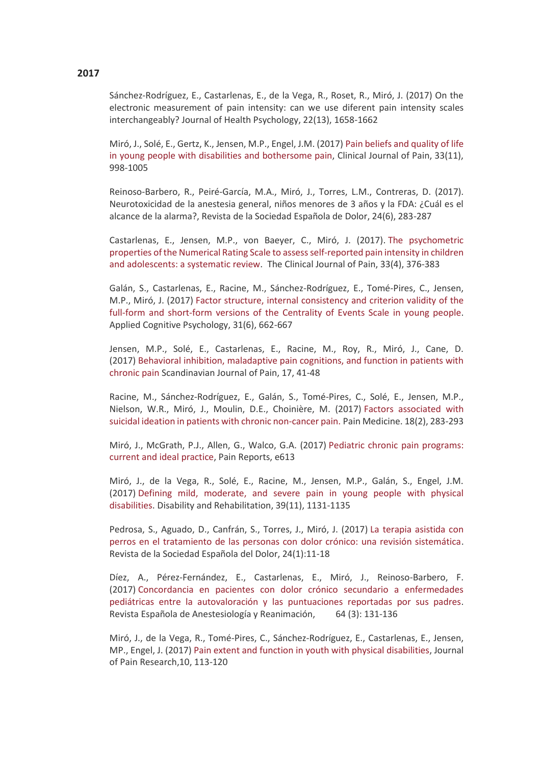## **2017**

Sánchez-Rodríguez, E., Castarlenas, E., de la Vega, R., Roset, R., Miró, J. (2017) On the electronic measurement of pain intensity: can we use diferent pain intensity scales interchangeably? Journal of Health Psychology, 22(13), 1658-1662

Miró, J., Solé, E., Gertz, K., Jensen, M.P., Engel, J.M. (2017) [Pain beliefs and quality of life](https://www.readbyqxmd.com/read/28118258/pain-beliefs-and-quality-of-life-in-young-people-with-disabilities-and-bothersome-pain)  [in young people with disabilities and bothersome pain,](https://www.readbyqxmd.com/read/28118258/pain-beliefs-and-quality-of-life-in-young-people-with-disabilities-and-bothersome-pain) Clinical Journal of Pain, 33(11), 998-1005

Reinoso-Barbero, R., Peiré-García, M.A., Miró, J., Torres, L.M., Contreras, D. (2017). Neurotoxicidad de la anestesia general, niños menores de 3 años y la FDA: ¿Cuál es el alcance de la alarma?, Revista de la Sociedad Española de Dolor, 24(6), 283-287

Castarlenas, E., Jensen, M.P., von Baeyer, C., Miró, J. (2017). [The psychometric](https://www.medscape.com/medline/abstract/27518484)  [properties of the Numerical Rating Scale to assess self-reported pain intensity in children](https://www.medscape.com/medline/abstract/27518484)  [and adolescents: a systematic review.](https://www.medscape.com/medline/abstract/27518484) The Clinical Journal of Pain, 33(4), 376-383

Galán, S., Castarlenas, E., Racine, M., Sánchez-Rodríguez, E., Tomé-Pires, C., Jensen, M.P., Miró, J. (2017) [Factor structure, internal consistency and criterion validity of the](http://onlinelibrary.wiley.com/doi/10.1002/acp.3369/full)  [full-form and short-form versions of the Centrality of Events Scale in young people.](http://onlinelibrary.wiley.com/doi/10.1002/acp.3369/full) Applied Cognitive Psychology, 31(6), 662-667

Jensen, M.P., Solé, E., Castarlenas, E., Racine, M., Roy, R., Miró, J., Cane, D. (2017) [Behavioral inhibition, maladaptive pain cognitions, and function in patients with](http://www.sciencedirect.com/science/article/pii/S1877886017301428)  [chronic pain](http://www.sciencedirect.com/science/article/pii/S1877886017301428) Scandinavian Journal of Pain, 17, 41-48

Racine, M., Sánchez-Rodríguez, E., Galán, S., Tomé-Pires, C., Solé, E., Jensen, M.P., Nielson, W.R., Miró, J., Moulin, D.E., Choinière, M. (2017) [Factors associated with](http://www.medscape.com/medline/abstract/28204732)  [suicidal ideation in patients with chronic non-cancer pain.](http://www.medscape.com/medline/abstract/28204732) Pain Medicine. 18(2), 283-293

Miró, J., McGrath, P.J., Allen, G., Walco, G.A. (2017) [Pediatric chronic pain programs:](http://journals.lww.com/painrpts/Fulltext/2017/10000/Pediatric_chronic_pain_programs___current_and.4.aspx)  [current and ideal practice,](http://journals.lww.com/painrpts/Fulltext/2017/10000/Pediatric_chronic_pain_programs___current_and.4.aspx) Pain Reports, e613

Miró, J., de la Vega, R., Solé, E., Racine, M., Jensen, M.P., Galán, S., Engel, J.M. (2017) Defining mild, [moderate, and severe pain in young people with physical](http://www.tandfonline.com/doi/full/10.1080/09638288.2016.1185469)  [disabilities.](http://www.tandfonline.com/doi/full/10.1080/09638288.2016.1185469) Disability and Rehabilitation, 39(11), 1131-1135

Pedrosa, S., Aguado, D., Canfrán, S., Torres, J., Miró, J. (2017) [La terapia asistida con](http://www.resed.es/la-terapia-asistida-con-perros-en-el-tratamiento-de-las-personas-con-dolor-cronico-una-revisionsistematica98)  [perros en el tratamiento de las personas con dolor crónico: una revisión sistemática.](http://www.resed.es/la-terapia-asistida-con-perros-en-el-tratamiento-de-las-personas-con-dolor-cronico-una-revisionsistematica98) Revista de la Sociedad Española del Dolor, 24(1):11-18

Díez, A., Pérez-Fernández, E., Castarlenas, E., Miró, J., Reinoso-Barbero, F. (2017) [Concordancia en pacientes con dolor crónico secundario a enfermedades](http://www.sciencedirect.com/science/article/pii/S0034935616300913)  [pediátricas entre la autovaloración y las puntuaciones reportadas por sus padres.](http://www.sciencedirect.com/science/article/pii/S0034935616300913) Revista Española de Anestesiología y Reanimación, 64 (3): 131-136

Miró, J., de la Vega, R., Tomé-Pires, C., Sánchez-Rodríguez, E., Castarlenas, E., Jensen, MP., Engel, J. (2017) [Pain extent and function in youth with physical disabilities,](https://www.dovepress.com/pain-extent-and-function-in-youth-with-physical-disabilities-peer-reviewed-article-JPR) Journal of Pain Research,10, 113-120